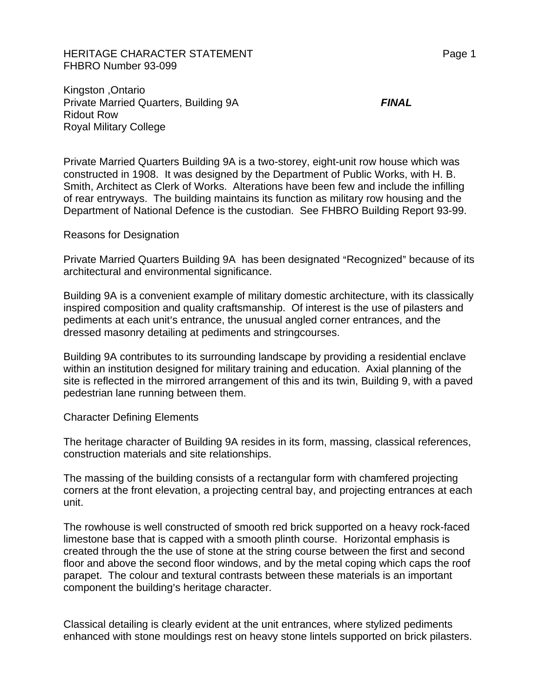HERITAGE CHARACTER STATEMENT FRAGGERAL Page 1 FHBRO Number 93-099

Kingston ,Ontario Private Married Quarters, Building 9A *FINAL* Ridout Row Royal Military College

Private Married Quarters Building 9A is a two-storey, eight-unit row house which was constructed in 1908. It was designed by the Department of Public Works, with H. B. Smith, Architect as Clerk of Works. Alterations have been few and include the infilling of rear entryways. The building maintains its function as military row housing and the Department of National Defence is the custodian. See FHBRO Building Report 93-99.

Reasons for Designation

Private Married Quarters Building 9A has been designated "Recognized" because of its architectural and environmental significance.

Building 9A is a convenient example of military domestic architecture, with its classically inspired composition and quality craftsmanship. Of interest is the use of pilasters and pediments at each unit's entrance, the unusual angled corner entrances, and the dressed masonry detailing at pediments and stringcourses.

Building 9A contributes to its surrounding landscape by providing a residential enclave within an institution designed for military training and education. Axial planning of the site is reflected in the mirrored arrangement of this and its twin, Building 9, with a paved pedestrian lane running between them.

## Character Defining Elements

The heritage character of Building 9A resides in its form, massing, classical references, construction materials and site relationships.

The massing of the building consists of a rectangular form with chamfered projecting corners at the front elevation, a projecting central bay, and projecting entrances at each unit.

The rowhouse is well constructed of smooth red brick supported on a heavy rock-faced limestone base that is capped with a smooth plinth course. Horizontal emphasis is created through the the use of stone at the string course between the first and second floor and above the second floor windows, and by the metal coping which caps the roof parapet. The colour and textural contrasts between these materials is an important component the building's heritage character.

Classical detailing is clearly evident at the unit entrances, where stylized pediments enhanced with stone mouldings rest on heavy stone lintels supported on brick pilasters.